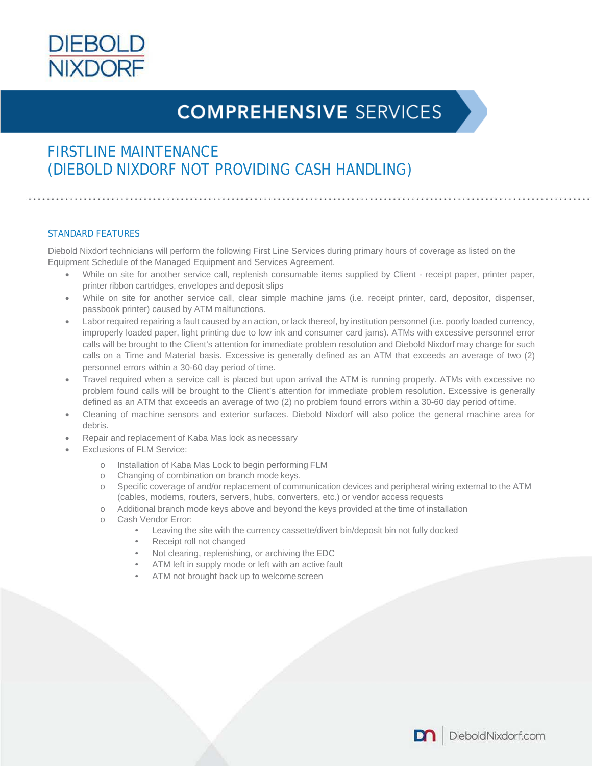

# **COMPREHENSIVE SERVICES**

## FIRSTLINE MAINTENANCE (DIEBOLD NIXDORF NOT PROVIDING CASH HANDLING)

### STANDARD FEATURES

Diebold Nixdorf technicians will perform the following First Line Services during primary hours of coverage as listed on the Equipment Schedule of the Managed Equipment and Services Agreement.

- While on site for another service call, replenish consumable items supplied by Client receipt paper, printer paper, printer ribbon cartridges, envelopes and deposit slips
- While on site for another service call, clear simple machine jams (i.e. receipt printer, card, depositor, dispenser, passbook printer) caused by ATM malfunctions.
- Labor required repairing a fault caused by an action, or lack thereof, by institution personnel (i.e. poorly loaded currency, improperly loaded paper, light printing due to low ink and consumer card jams). ATMs with excessive personnel error calls will be brought to the Client's attention for immediate problem resolution and Diebold Nixdorf may charge for such calls on a Time and Material basis. Excessive is generally defined as an ATM that exceeds an average of two (2) personnel errors within a 30-60 day period of time.
- Travel required when a service call is placed but upon arrival the ATM is running properly. ATMs with excessive no problem found calls will be brought to the Client's attention for immediate problem resolution. Excessive is generally defined as an ATM that exceeds an average of two (2) no problem found errors within a 30-60 day period of time.
- Cleaning of machine sensors and exterior surfaces. Diebold Nixdorf will also police the general machine area for debris.
- Repair and replacement of Kaba Mas lock as necessary
- Exclusions of FLM Service:
	- o Installation of Kaba Mas Lock to begin performing FLM
	- o Changing of combination on branch mode keys.
	- o Specific coverage of and/or replacement of communication devices and peripheral wiring external to the ATM (cables, modems, routers, servers, hubs, converters, etc.) or vendor access requests
	- o Additional branch mode keys above and beyond the keys provided at the time of installation
	- o Cash Vendor Error:
		- Leaving the site with the currency cassette/divert bin/deposit bin not fully docked
		- Receipt roll not changed
		- Not clearing, replenishing, or archiving the EDC
		- ATM left in supply mode or left with an active fault
		- ATM not brought back up to welcomescreen

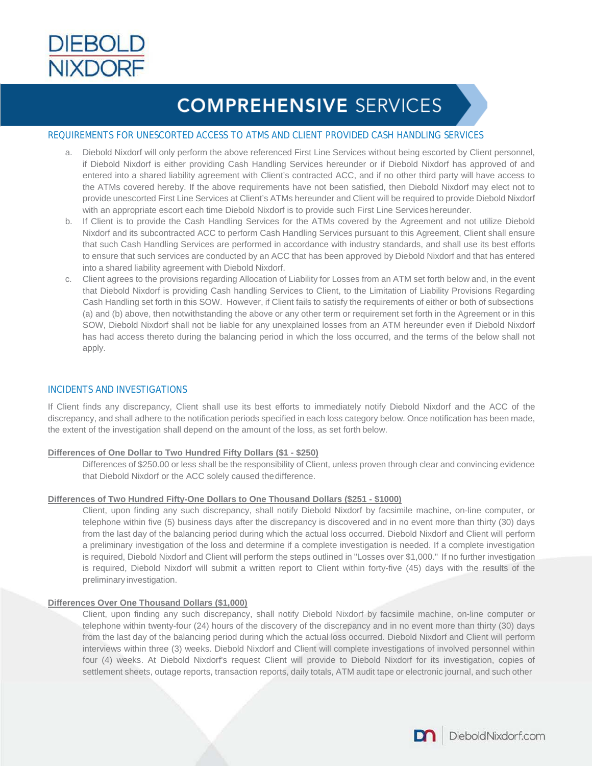

# **COMPREHENSIVE SERVICES**

### REQUIREMENTS FOR UNESCORTED ACCESS TO ATMS AND CLIENT PROVIDED CASH HANDLING SERVICES

- a. Diebold Nixdorf will only perform the above referenced First Line Services without being escorted by Client personnel, if Diebold Nixdorf is either providing Cash Handling Services hereunder or if Diebold Nixdorf has approved of and entered into a shared liability agreement with Client's contracted ACC, and if no other third party will have access to the ATMs covered hereby. If the above requirements have not been satisfied, then Diebold Nixdorf may elect not to provide unescorted First Line Services at Client's ATMs hereunder and Client will be required to provide Diebold Nixdorf with an appropriate escort each time Diebold Nixdorf is to provide such First Line Services hereunder.
- b. If Client is to provide the Cash Handling Services for the ATMs covered by the Agreement and not utilize Diebold Nixdorf and its subcontracted ACC to perform Cash Handling Services pursuant to this Agreement, Client shall ensure that such Cash Handling Services are performed in accordance with industry standards, and shall use its best efforts to ensure that such services are conducted by an ACC that has been approved by Diebold Nixdorf and that has entered into a shared liability agreement with Diebold Nixdorf.
- c. Client agrees to the provisions regarding Allocation of Liability for Losses from an ATM set forth below and, in the event that Diebold Nixdorf is providing Cash handling Services to Client, to the Limitation of Liability Provisions Regarding Cash Handling set forth in this SOW. However, if Client fails to satisfy the requirements of either or both of subsections (a) and (b) above, then notwithstanding the above or any other term or requirement set forth in the Agreement or in this SOW, Diebold Nixdorf shall not be liable for any unexplained losses from an ATM hereunder even if Diebold Nixdorf has had access thereto during the balancing period in which the loss occurred, and the terms of the below shall not apply.

### INCIDENTS AND INVESTIGATIONS

If Client finds any discrepancy, Client shall use its best efforts to immediately notify Diebold Nixdorf and the ACC of the discrepancy, and shall adhere to the notification periods specified in each loss category below. Once notification has been made, the extent of the investigation shall depend on the amount of the loss, as set forth below.

#### **Differences of One Dollar to Two Hundred Fifty Dollars (\$1 - \$250)**

Differences of \$250.00 or less shall be the responsibility of Client, unless proven through clear and convincing evidence that Diebold Nixdorf or the ACC solely caused thedifference.

#### **Differences of Two Hundred Fifty-One Dollars to One Thousand Dollars (\$251 - \$1000)**

Client, upon finding any such discrepancy, shall notify Diebold Nixdorf by facsimile machine, on-line computer, or telephone within five (5) business days after the discrepancy is discovered and in no event more than thirty (30) days from the last day of the balancing period during which the actual loss occurred. Diebold Nixdorf and Client will perform a preliminary investigation of the loss and determine if a complete investigation is needed. If a complete investigation is required, Diebold Nixdorf and Client will perform the steps outlined in "Losses over \$1,000." If no further investigation is required, Diebold Nixdorf will submit a written report to Client within forty-five (45) days with the results of the preliminary investigation.

#### **Differences Over One Thousand Dollars (\$1,000)**

Client, upon finding any such discrepancy, shall notify Diebold Nixdorf by facsimile machine, on-line computer or telephone within twenty-four (24) hours of the discovery of the discrepancy and in no event more than thirty (30) days from the last day of the balancing period during which the actual loss occurred. Diebold Nixdorf and Client will perform interviews within three (3) weeks. Diebold Nixdorf and Client will complete investigations of involved personnel within four (4) weeks. At Diebold Nixdorf's request Client will provide to Diebold Nixdorf for its investigation, copies of settlement sheets, outage reports, transaction reports, daily totals, ATM audit tape or electronic journal, and such other

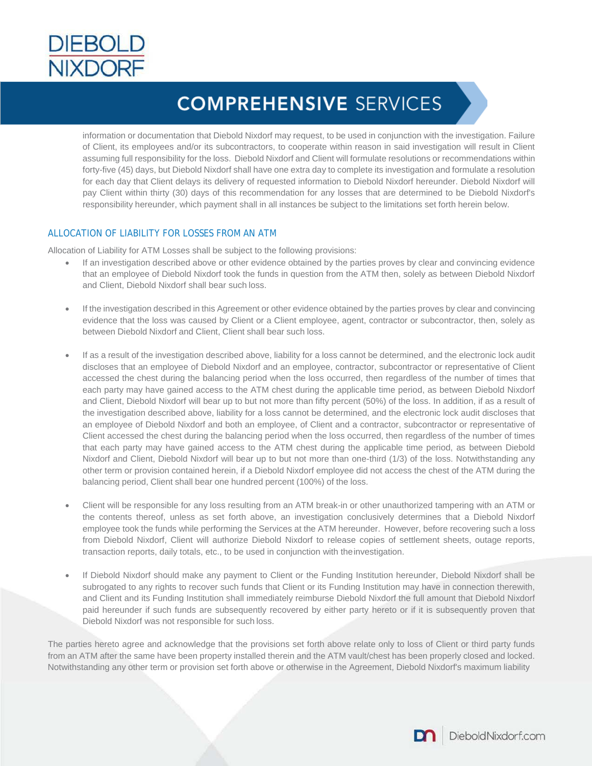

# **COMPREHENSIVE SERVICES**

information or documentation that Diebold Nixdorf may request, to be used in conjunction with the investigation. Failure of Client, its employees and/or its subcontractors, to cooperate within reason in said investigation will result in Client assuming full responsibility for the loss. Diebold Nixdorf and Client will formulate resolutions or recommendations within forty-five (45) days, but Diebold Nixdorf shall have one extra day to complete its investigation and formulate a resolution for each day that Client delays its delivery of requested information to Diebold Nixdorf hereunder. Diebold Nixdorf will pay Client within thirty (30) days of this recommendation for any losses that are determined to be Diebold Nixdorf's responsibility hereunder, which payment shall in all instances be subject to the limitations set forth herein below.

### ALLOCATION OF LIABILITY FOR LOSSES FROM AN ATM

Allocation of Liability for ATM Losses shall be subject to the following provisions:

- If an investigation described above or other evidence obtained by the parties proves by clear and convincing evidence that an employee of Diebold Nixdorf took the funds in question from the ATM then, solely as between Diebold Nixdorf and Client, Diebold Nixdorf shall bear such loss.
- If the investigation described in this Agreement or other evidence obtained by the parties proves by clear and convincing evidence that the loss was caused by Client or a Client employee, agent, contractor or subcontractor, then, solely as between Diebold Nixdorf and Client, Client shall bear such loss.
- If as a result of the investigation described above, liability for a loss cannot be determined, and the electronic lock audit discloses that an employee of Diebold Nixdorf and an employee, contractor, subcontractor or representative of Client accessed the chest during the balancing period when the loss occurred, then regardless of the number of times that each party may have gained access to the ATM chest during the applicable time period, as between Diebold Nixdorf and Client, Diebold Nixdorf will bear up to but not more than fifty percent (50%) of the loss. In addition, if as a result of the investigation described above, liability for a loss cannot be determined, and the electronic lock audit discloses that an employee of Diebold Nixdorf and both an employee, of Client and a contractor, subcontractor or representative of Client accessed the chest during the balancing period when the loss occurred, then regardless of the number of times that each party may have gained access to the ATM chest during the applicable time period, as between Diebold Nixdorf and Client, Diebold Nixdorf will bear up to but not more than one-third (1/3) of the loss. Notwithstanding any other term or provision contained herein, if a Diebold Nixdorf employee did not access the chest of the ATM during the balancing period, Client shall bear one hundred percent (100%) of the loss.
- Client will be responsible for any loss resulting from an ATM break-in or other unauthorized tampering with an ATM or the contents thereof, unless as set forth above, an investigation conclusively determines that a Diebold Nixdorf employee took the funds while performing the Services at the ATM hereunder. However, before recovering such a loss from Diebold Nixdorf, Client will authorize Diebold Nixdorf to release copies of settlement sheets, outage reports, transaction reports, daily totals, etc., to be used in conjunction with theinvestigation.
- If Diebold Nixdorf should make any payment to Client or the Funding Institution hereunder, Diebold Nixdorf shall be subrogated to any rights to recover such funds that Client or its Funding Institution may have in connection therewith, and Client and its Funding Institution shall immediately reimburse Diebold Nixdorf the full amount that Diebold Nixdorf paid hereunder if such funds are subsequently recovered by either party hereto or if it is subsequently proven that Diebold Nixdorf was not responsible for such loss.

The parties hereto agree and acknowledge that the provisions set forth above relate only to loss of Client or third party funds from an ATM after the same have been property installed therein and the ATM vault/chest has been properly closed and locked. Notwithstanding any other term or provision set forth above or otherwise in the Agreement, Diebold Nixdorf's maximum liability